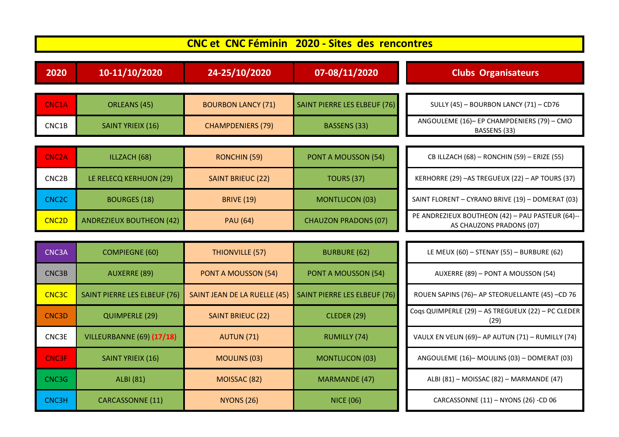| <b>CNC et CNC Féminin 2020 - Sites des rencontres</b> |                                     |                              |                                     |                                                                              |  |  |
|-------------------------------------------------------|-------------------------------------|------------------------------|-------------------------------------|------------------------------------------------------------------------------|--|--|
| 2020                                                  | 10-11/10/2020                       | 24-25/10/2020                | 07-08/11/2020                       | <b>Clubs Organisateurs</b>                                                   |  |  |
| CNC1A                                                 | ORLEANS (45)                        | <b>BOURBON LANCY (71)</b>    | <b>SAINT PIERRE LES ELBEUF (76)</b> | SULLY (45) - BOURBON LANCY (71) - CD76                                       |  |  |
| CNC1B                                                 | SAINT YRIEIX (16)                   | <b>CHAMPDENIERS (79)</b>     | <b>BASSENS (33)</b>                 | ANGOULEME (16)- EP CHAMPDENIERS (79) - CMO<br>BASSENS (33)                   |  |  |
|                                                       |                                     |                              |                                     |                                                                              |  |  |
| <b>CNC2A</b>                                          | ILLZACH (68)                        | RONCHIN (59)                 | <b>PONT A MOUSSON (54)</b>          | CB ILLZACH (68) - RONCHIN (59) - ERIZE (55)                                  |  |  |
| CNC2B                                                 | LE RELECQ KERHUON (29)              | <b>SAINT BRIEUC (22)</b>     | <b>TOURS (37)</b>                   | KERHORRE (29) - AS TREGUEUX (22) - AP TOURS (37)                             |  |  |
| CNC <sub>2</sub> C                                    | <b>BOURGES (18)</b>                 | <b>BRIVE (19)</b>            | <b>MONTLUCON (03)</b>               | SAINT FLORENT - CYRANO BRIVE (19) - DOMERAT (03)                             |  |  |
| CNC <sub>2</sub> D                                    | <b>ANDREZIEUX BOUTHEON (42)</b>     | <b>PAU (64)</b>              | <b>CHAUZON PRADONS (07)</b>         | PE ANDREZIEUX BOUTHEON (42) - PAU PASTEUR (64)--<br>AS CHAUZONS PRADONS (07) |  |  |
|                                                       |                                     |                              |                                     |                                                                              |  |  |
| CNC3A                                                 | <b>COMPIEGNE (60)</b>               | THIONVILLE (57)              | <b>BURBURE (62)</b>                 | LE MEUX (60) - STENAY (55) - BURBURE (62)                                    |  |  |
| CNC3B                                                 | <b>AUXERRE (89)</b>                 | PONT A MOUSSON (54)          | <b>PONT A MOUSSON (54)</b>          | AUXERRE (89) - PONT A MOUSSON (54)                                           |  |  |
| <b>CNC3C</b>                                          | <b>SAINT PIERRE LES ELBEUF (76)</b> | SAINT JEAN DE LA RUELLE (45) | <b>SAINT PIERRE LES ELBEUF (76)</b> | ROUEN SAPINS (76)- AP STEORUELLANTE (45) -CD 76                              |  |  |
| CNC3D                                                 | <b>QUIMPERLE (29)</b>               | <b>SAINT BRIEUC (22)</b>     | <b>CLEDER (29)</b>                  | Coqs QUIMPERLE (29) - AS TREGUEUX (22) - PC CLEDER<br>(29)                   |  |  |
| CNC3E                                                 | VILLEURBANNE (69) (17/18)           | <b>AUTUN (71)</b>            | <b>RUMILLY (74)</b>                 | VAULX EN VELIN (69)- AP AUTUN (71) - RUMILLY (74)                            |  |  |
| <b>CNC3F</b>                                          | SAINT YRIEIX (16)                   | <b>MOULINS (03)</b>          | <b>MONTLUCON (03)</b>               | ANGOULEME (16)-MOULINS (03) - DOMERAT (03)                                   |  |  |
| CNC3G                                                 | <b>ALBI</b> (81)                    | MOISSAC (82)                 | <b>MARMANDE (47)</b>                | ALBI (81) - MOISSAC (82) - MARMANDE (47)                                     |  |  |
| CNC3H                                                 | <b>CARCASSONNE (11)</b>             | <b>NYONS (26)</b>            | <b>NICE (06)</b>                    | CARCASSONNE (11) - NYONS (26) -CD 06                                         |  |  |